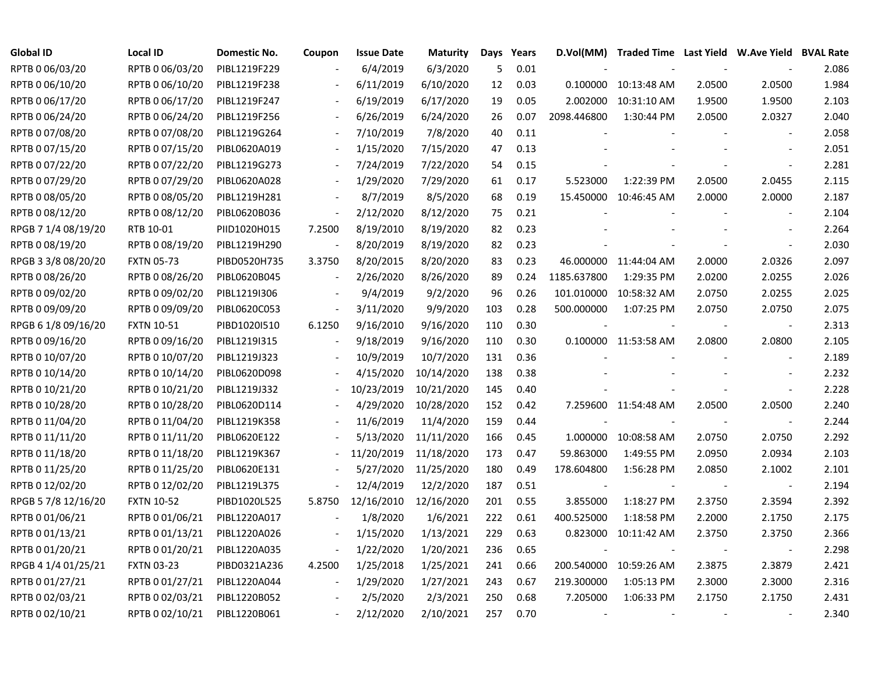| <b>Global ID</b>    | <b>Local ID</b>   | Domestic No. | Coupon                   | <b>Issue Date</b> | <b>Maturity</b> | Days | Years |                          | D.Vol(MM) Traded Time Last Yield W.Ave Yield BVAL Rate |        |                          |       |
|---------------------|-------------------|--------------|--------------------------|-------------------|-----------------|------|-------|--------------------------|--------------------------------------------------------|--------|--------------------------|-------|
| RPTB 0 06/03/20     | RPTB 0 06/03/20   | PIBL1219F229 |                          | 6/4/2019          | 6/3/2020        | 5    | 0.01  |                          |                                                        |        |                          | 2.086 |
| RPTB 0 06/10/20     | RPTB 0 06/10/20   | PIBL1219F238 |                          | 6/11/2019         | 6/10/2020       | 12   | 0.03  |                          | 0.100000 10:13:48 AM                                   | 2.0500 | 2.0500                   | 1.984 |
| RPTB 0 06/17/20     | RPTB 0 06/17/20   | PIBL1219F247 |                          | 6/19/2019         | 6/17/2020       | 19   | 0.05  |                          | 2.002000 10:31:10 AM                                   | 1.9500 | 1.9500                   | 2.103 |
| RPTB 0 06/24/20     | RPTB 0 06/24/20   | PIBL1219F256 |                          | 6/26/2019         | 6/24/2020       | 26   | 0.07  | 2098.446800              | 1:30:44 PM                                             | 2.0500 | 2.0327                   | 2.040 |
| RPTB 0 07/08/20     | RPTB 0 07/08/20   | PIBL1219G264 | $\blacksquare$           | 7/10/2019         | 7/8/2020        | 40   | 0.11  |                          |                                                        |        | $\blacksquare$           | 2.058 |
| RPTB 0 07/15/20     | RPTB 0 07/15/20   | PIBL0620A019 | $\overline{\phantom{a}}$ | 1/15/2020         | 7/15/2020       | 47   | 0.13  |                          |                                                        |        | $\blacksquare$           | 2.051 |
| RPTB 0 07/22/20     | RPTB 0 07/22/20   | PIBL1219G273 |                          | 7/24/2019         | 7/22/2020       | 54   | 0.15  |                          |                                                        |        |                          | 2.281 |
| RPTB 0 07/29/20     | RPTB 0 07/29/20   | PIBL0620A028 |                          | 1/29/2020         | 7/29/2020       | 61   | 0.17  | 5.523000                 | 1:22:39 PM                                             | 2.0500 | 2.0455                   | 2.115 |
| RPTB 0 08/05/20     | RPTB 0 08/05/20   | PIBL1219H281 |                          | 8/7/2019          | 8/5/2020        | 68   | 0.19  |                          | 15.450000 10:46:45 AM                                  | 2.0000 | 2.0000                   | 2.187 |
| RPTB 0 08/12/20     | RPTB 0 08/12/20   | PIBL0620B036 | $\overline{\phantom{a}}$ | 2/12/2020         | 8/12/2020       | 75   | 0.21  |                          |                                                        |        | $\blacksquare$           | 2.104 |
| RPGB 7 1/4 08/19/20 | RTB 10-01         | PIID1020H015 | 7.2500                   | 8/19/2010         | 8/19/2020       | 82   | 0.23  |                          |                                                        |        |                          | 2.264 |
| RPTB 0 08/19/20     | RPTB 0 08/19/20   | PIBL1219H290 | $\overline{\phantom{a}}$ | 8/20/2019         | 8/19/2020       | 82   | 0.23  |                          |                                                        |        | $\overline{\phantom{a}}$ | 2.030 |
| RPGB 3 3/8 08/20/20 | <b>FXTN 05-73</b> | PIBD0520H735 | 3.3750                   | 8/20/2015         | 8/20/2020       | 83   | 0.23  |                          | 46.000000 11:44:04 AM                                  | 2.0000 | 2.0326                   | 2.097 |
| RPTB 0 08/26/20     | RPTB 0 08/26/20   | PIBL0620B045 | $\blacksquare$           | 2/26/2020         | 8/26/2020       | 89   | 0.24  | 1185.637800              | 1:29:35 PM                                             | 2.0200 | 2.0255                   | 2.026 |
| RPTB 0 09/02/20     | RPTB 0 09/02/20   | PIBL1219I306 |                          | 9/4/2019          | 9/2/2020        | 96   | 0.26  | 101.010000               | 10:58:32 AM                                            | 2.0750 | 2.0255                   | 2.025 |
| RPTB 0 09/09/20     | RPTB 0 09/09/20   | PIBL0620C053 | $\overline{\phantom{a}}$ | 3/11/2020         | 9/9/2020        | 103  | 0.28  | 500.000000               | 1:07:25 PM                                             | 2.0750 | 2.0750                   | 2.075 |
| RPGB 6 1/8 09/16/20 | <b>FXTN 10-51</b> | PIBD1020I510 | 6.1250                   | 9/16/2010         | 9/16/2020       | 110  | 0.30  |                          |                                                        |        |                          | 2.313 |
| RPTB 0 09/16/20     | RPTB 0 09/16/20   | PIBL1219I315 | $\overline{\phantom{a}}$ | 9/18/2019         | 9/16/2020       | 110  | 0.30  |                          | 0.100000 11:53:58 AM                                   | 2.0800 | 2.0800                   | 2.105 |
| RPTB 0 10/07/20     | RPTB 0 10/07/20   | PIBL1219J323 | $\overline{\phantom{a}}$ | 10/9/2019         | 10/7/2020       | 131  | 0.36  |                          |                                                        |        | $\overline{\phantom{a}}$ | 2.189 |
| RPTB 0 10/14/20     | RPTB 0 10/14/20   | PIBL0620D098 |                          | 4/15/2020         | 10/14/2020      | 138  | 0.38  |                          |                                                        |        |                          | 2.232 |
| RPTB 0 10/21/20     | RPTB 0 10/21/20   | PIBL1219J332 |                          | 10/23/2019        | 10/21/2020      | 145  | 0.40  |                          |                                                        |        | $\blacksquare$           | 2.228 |
| RPTB 0 10/28/20     | RPTB 0 10/28/20   | PIBL0620D114 |                          | 4/29/2020         | 10/28/2020      | 152  | 0.42  |                          | 7.259600 11:54:48 AM                                   | 2.0500 | 2.0500                   | 2.240 |
| RPTB 0 11/04/20     | RPTB 0 11/04/20   | PIBL1219K358 |                          | 11/6/2019         | 11/4/2020       | 159  | 0.44  |                          |                                                        |        | $\sim$                   | 2.244 |
| RPTB 0 11/11/20     | RPTB 0 11/11/20   | PIBL0620E122 |                          | 5/13/2020         | 11/11/2020      | 166  | 0.45  |                          | 1.000000 10:08:58 AM                                   | 2.0750 | 2.0750                   | 2.292 |
| RPTB 0 11/18/20     | RPTB 0 11/18/20   | PIBL1219K367 |                          | 11/20/2019        | 11/18/2020      | 173  | 0.47  | 59.863000                | 1:49:55 PM                                             | 2.0950 | 2.0934                   | 2.103 |
| RPTB 0 11/25/20     | RPTB 0 11/25/20   | PIBL0620E131 |                          | 5/27/2020         | 11/25/2020      | 180  | 0.49  | 178.604800               | 1:56:28 PM                                             | 2.0850 | 2.1002                   | 2.101 |
| RPTB 0 12/02/20     | RPTB 0 12/02/20   | PIBL1219L375 |                          | 12/4/2019         | 12/2/2020       | 187  | 0.51  |                          |                                                        |        | $\overline{\phantom{a}}$ | 2.194 |
| RPGB 5 7/8 12/16/20 | <b>FXTN 10-52</b> | PIBD1020L525 | 5.8750                   | 12/16/2010        | 12/16/2020      | 201  | 0.55  | 3.855000                 | 1:18:27 PM                                             | 2.3750 | 2.3594                   | 2.392 |
| RPTB 0 01/06/21     | RPTB 0 01/06/21   | PIBL1220A017 |                          | 1/8/2020          | 1/6/2021        | 222  | 0.61  | 400.525000               | 1:18:58 PM                                             | 2.2000 | 2.1750                   | 2.175 |
| RPTB 0 01/13/21     | RPTB 0 01/13/21   | PIBL1220A026 | $\overline{\phantom{a}}$ | 1/15/2020         | 1/13/2021       | 229  | 0.63  |                          | 0.823000 10:11:42 AM                                   | 2.3750 | 2.3750                   | 2.366 |
| RPTB 0 01/20/21     | RPTB 0 01/20/21   | PIBL1220A035 | $\overline{\phantom{a}}$ | 1/22/2020         | 1/20/2021       | 236  | 0.65  |                          |                                                        |        |                          | 2.298 |
| RPGB 4 1/4 01/25/21 | <b>FXTN 03-23</b> | PIBD0321A236 | 4.2500                   | 1/25/2018         | 1/25/2021       | 241  | 0.66  |                          | 200.540000 10:59:26 AM                                 | 2.3875 | 2.3879                   | 2.421 |
| RPTB 0 01/27/21     | RPTB 0 01/27/21   | PIBL1220A044 | $\overline{\phantom{a}}$ | 1/29/2020         | 1/27/2021       | 243  | 0.67  | 219.300000               | 1:05:13 PM                                             | 2.3000 | 2.3000                   | 2.316 |
| RPTB 0 02/03/21     | RPTB 0 02/03/21   | PIBL1220B052 |                          | 2/5/2020          | 2/3/2021        | 250  | 0.68  | 7.205000                 | 1:06:33 PM                                             | 2.1750 | 2.1750                   | 2.431 |
| RPTB 0 02/10/21     | RPTB 0 02/10/21   | PIBL1220B061 |                          | 2/12/2020         | 2/10/2021       | 257  | 0.70  | $\overline{\phantom{a}}$ |                                                        |        |                          | 2.340 |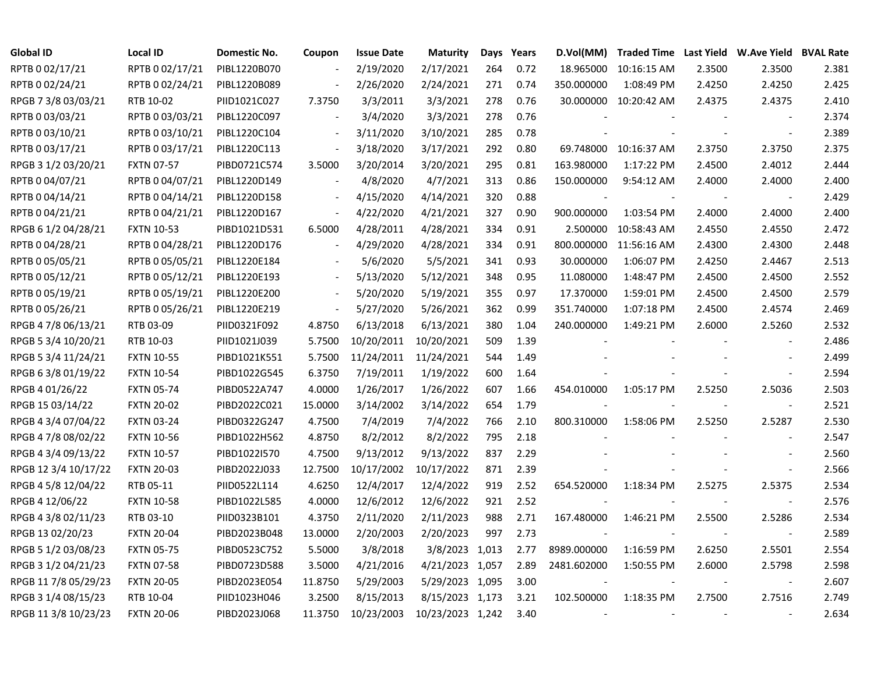| <b>Global ID</b>     | <b>Local ID</b>   | Domestic No. | Coupon                   | <b>Issue Date</b> | <b>Maturity</b>  |     | Days Years | D.Vol(MM)                | Traded Time Last Yield W.Ave Yield BVAL Rate |                |                          |       |
|----------------------|-------------------|--------------|--------------------------|-------------------|------------------|-----|------------|--------------------------|----------------------------------------------|----------------|--------------------------|-------|
| RPTB 002/17/21       | RPTB 0 02/17/21   | PIBL1220B070 |                          | 2/19/2020         | 2/17/2021        | 264 | 0.72       | 18.965000                | 10:16:15 AM                                  | 2.3500         | 2.3500                   | 2.381 |
| RPTB 0 02/24/21      | RPTB 0 02/24/21   | PIBL1220B089 |                          | 2/26/2020         | 2/24/2021        | 271 | 0.74       | 350.000000               | 1:08:49 PM                                   | 2.4250         | 2.4250                   | 2.425 |
| RPGB 7 3/8 03/03/21  | RTB 10-02         | PIID1021C027 | 7.3750                   | 3/3/2011          | 3/3/2021         | 278 | 0.76       |                          | 30.000000 10:20:42 AM                        | 2.4375         | 2.4375                   | 2.410 |
| RPTB 0 03/03/21      | RPTB 0 03/03/21   | PIBL1220C097 | $\blacksquare$           | 3/4/2020          | 3/3/2021         | 278 | 0.76       |                          |                                              |                | $\sim$                   | 2.374 |
| RPTB 0 03/10/21      | RPTB 0 03/10/21   | PIBL1220C104 | $\overline{\phantom{a}}$ | 3/11/2020         | 3/10/2021        | 285 | 0.78       |                          |                                              |                | $\overline{\phantom{a}}$ | 2.389 |
| RPTB 0 03/17/21      | RPTB 0 03/17/21   | PIBL1220C113 | $\bar{\phantom{a}}$      | 3/18/2020         | 3/17/2021        | 292 | 0.80       |                          | 69.748000 10:16:37 AM                        | 2.3750         | 2.3750                   | 2.375 |
| RPGB 3 1/2 03/20/21  | <b>FXTN 07-57</b> | PIBD0721C574 | 3.5000                   | 3/20/2014         | 3/20/2021        | 295 | 0.81       | 163.980000               | 1:17:22 PM                                   | 2.4500         | 2.4012                   | 2.444 |
| RPTB 0 04/07/21      | RPTB 0 04/07/21   | PIBL1220D149 |                          | 4/8/2020          | 4/7/2021         | 313 | 0.86       | 150.000000               | 9:54:12 AM                                   | 2.4000         | 2.4000                   | 2.400 |
| RPTB 0 04/14/21      | RPTB 0 04/14/21   | PIBL1220D158 | $\frac{1}{2}$            | 4/15/2020         | 4/14/2021        | 320 | 0.88       | $\overline{\phantom{a}}$ |                                              |                |                          | 2.429 |
| RPTB 0 04/21/21      | RPTB 0 04/21/21   | PIBL1220D167 | $\overline{\phantom{a}}$ | 4/22/2020         | 4/21/2021        | 327 | 0.90       | 900.000000               | 1:03:54 PM                                   | 2.4000         | 2.4000                   | 2.400 |
| RPGB 6 1/2 04/28/21  | <b>FXTN 10-53</b> | PIBD1021D531 | 6.5000                   | 4/28/2011         | 4/28/2021        | 334 | 0.91       | 2.500000                 | 10:58:43 AM                                  | 2.4550         | 2.4550                   | 2.472 |
| RPTB 0 04/28/21      | RPTB 0 04/28/21   | PIBL1220D176 | $\blacksquare$           | 4/29/2020         | 4/28/2021        | 334 | 0.91       | 800.000000               | 11:56:16 AM                                  | 2.4300         | 2.4300                   | 2.448 |
| RPTB 0 05/05/21      | RPTB 0 05/05/21   | PIBL1220E184 |                          | 5/6/2020          | 5/5/2021         | 341 | 0.93       | 30.000000                | 1:06:07 PM                                   | 2.4250         | 2.4467                   | 2.513 |
| RPTB 0 05/12/21      | RPTB 0 05/12/21   | PIBL1220E193 |                          | 5/13/2020         | 5/12/2021        | 348 | 0.95       | 11.080000                | 1:48:47 PM                                   | 2.4500         | 2.4500                   | 2.552 |
| RPTB 0 05/19/21      | RPTB 0 05/19/21   | PIBL1220E200 |                          | 5/20/2020         | 5/19/2021        | 355 | 0.97       | 17.370000                | 1:59:01 PM                                   | 2.4500         | 2.4500                   | 2.579 |
| RPTB 0 05/26/21      | RPTB 0 05/26/21   | PIBL1220E219 | $\overline{\phantom{a}}$ | 5/27/2020         | 5/26/2021        | 362 | 0.99       | 351.740000               | 1:07:18 PM                                   | 2.4500         | 2.4574                   | 2.469 |
| RPGB 4 7/8 06/13/21  | RTB 03-09         | PIID0321F092 | 4.8750                   | 6/13/2018         | 6/13/2021        | 380 | 1.04       | 240.000000               | 1:49:21 PM                                   | 2.6000         | 2.5260                   | 2.532 |
| RPGB 5 3/4 10/20/21  | RTB 10-03         | PIID1021J039 | 5.7500                   | 10/20/2011        | 10/20/2021       | 509 | 1.39       |                          |                                              |                | $\overline{\phantom{a}}$ | 2.486 |
| RPGB 5 3/4 11/24/21  | <b>FXTN 10-55</b> | PIBD1021K551 | 5.7500                   | 11/24/2011        | 11/24/2021       | 544 | 1.49       |                          |                                              |                |                          | 2.499 |
| RPGB 6 3/8 01/19/22  | <b>FXTN 10-54</b> | PIBD1022G545 | 6.3750                   | 7/19/2011         | 1/19/2022        | 600 | 1.64       |                          |                                              |                | $\overline{\phantom{a}}$ | 2.594 |
| RPGB 4 01/26/22      | <b>FXTN 05-74</b> | PIBD0522A747 | 4.0000                   | 1/26/2017         | 1/26/2022        | 607 | 1.66       | 454.010000               | 1:05:17 PM                                   | 2.5250         | 2.5036                   | 2.503 |
| RPGB 15 03/14/22     | <b>FXTN 20-02</b> | PIBD2022C021 | 15.0000                  | 3/14/2002         | 3/14/2022        | 654 | 1.79       |                          |                                              |                | $\sim$                   | 2.521 |
| RPGB 4 3/4 07/04/22  | <b>FXTN 03-24</b> | PIBD0322G247 | 4.7500                   | 7/4/2019          | 7/4/2022         | 766 | 2.10       | 800.310000               | 1:58:06 PM                                   | 2.5250         | 2.5287                   | 2.530 |
| RPGB 4 7/8 08/02/22  | <b>FXTN 10-56</b> | PIBD1022H562 | 4.8750                   | 8/2/2012          | 8/2/2022         | 795 | 2.18       |                          |                                              |                | $\overline{\phantom{a}}$ | 2.547 |
| RPGB 4 3/4 09/13/22  | <b>FXTN 10-57</b> | PIBD1022I570 | 4.7500                   | 9/13/2012         | 9/13/2022        | 837 | 2.29       |                          |                                              |                | $\blacksquare$           | 2.560 |
| RPGB 12 3/4 10/17/22 | <b>FXTN 20-03</b> | PIBD2022J033 | 12.7500                  | 10/17/2002        | 10/17/2022       | 871 | 2.39       |                          |                                              |                | $\overline{\phantom{a}}$ | 2.566 |
| RPGB 4 5/8 12/04/22  | RTB 05-11         | PIID0522L114 | 4.6250                   | 12/4/2017         | 12/4/2022        | 919 | 2.52       | 654.520000               | 1:18:34 PM                                   | 2.5275         | 2.5375                   | 2.534 |
| RPGB 4 12/06/22      | <b>FXTN 10-58</b> | PIBD1022L585 | 4.0000                   | 12/6/2012         | 12/6/2022        | 921 | 2.52       |                          |                                              |                |                          | 2.576 |
| RPGB 4 3/8 02/11/23  | RTB 03-10         | PIID0323B101 | 4.3750                   | 2/11/2020         | 2/11/2023        | 988 | 2.71       | 167.480000               | 1:46:21 PM                                   | 2.5500         | 2.5286                   | 2.534 |
| RPGB 13 02/20/23     | <b>FXTN 20-04</b> | PIBD2023B048 | 13.0000                  | 2/20/2003         | 2/20/2023        | 997 | 2.73       |                          |                                              |                | $\sim$                   | 2.589 |
| RPGB 5 1/2 03/08/23  | <b>FXTN 05-75</b> | PIBD0523C752 | 5.5000                   | 3/8/2018          | 3/8/2023 1,013   |     | 2.77       | 8989.000000              | 1:16:59 PM                                   | 2.6250         | 2.5501                   | 2.554 |
| RPGB 3 1/2 04/21/23  | <b>FXTN 07-58</b> | PIBD0723D588 | 3.5000                   | 4/21/2016         | 4/21/2023 1,057  |     | 2.89       | 2481.602000              | 1:50:55 PM                                   | 2.6000         | 2.5798                   | 2.598 |
| RPGB 11 7/8 05/29/23 | <b>FXTN 20-05</b> | PIBD2023E054 | 11.8750                  | 5/29/2003         | 5/29/2023 1,095  |     | 3.00       |                          |                                              |                | $\sim$                   | 2.607 |
| RPGB 3 1/4 08/15/23  | RTB 10-04         | PIID1023H046 | 3.2500                   | 8/15/2013         | 8/15/2023 1,173  |     | 3.21       | 102.500000               | 1:18:35 PM                                   | 2.7500         | 2.7516                   | 2.749 |
| RPGB 11 3/8 10/23/23 | <b>FXTN 20-06</b> | PIBD2023J068 | 11.3750                  | 10/23/2003        | 10/23/2023 1,242 |     | 3.40       | $\blacksquare$           |                                              | $\blacksquare$ | $\blacksquare$           | 2.634 |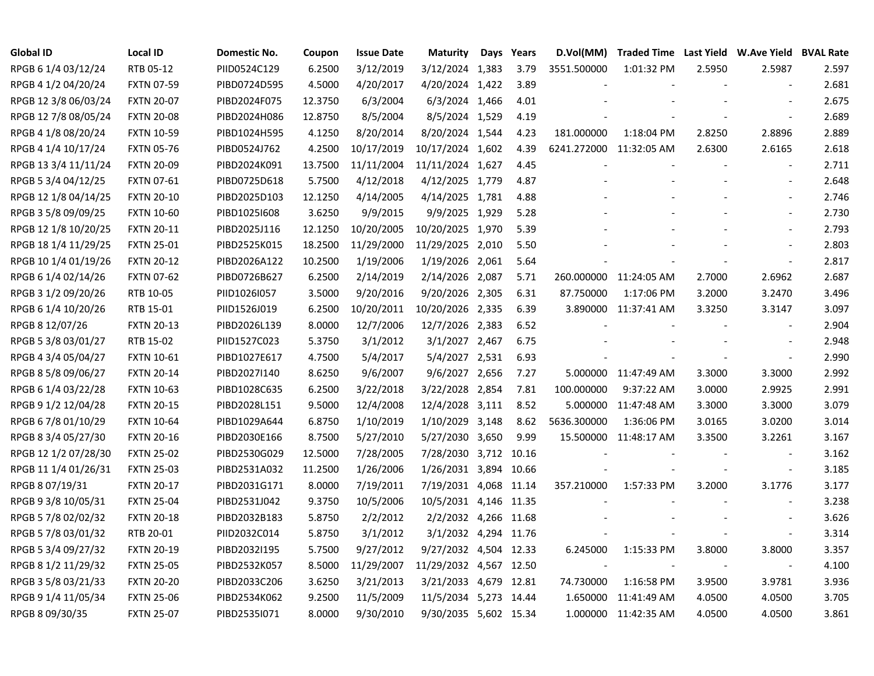| <b>Global ID</b>     | <b>Local ID</b>   | Domestic No. | Coupon  | <b>Issue Date</b> | <b>Maturity</b>        | Days | Years | D.Vol(MM)               |                        |        | Traded Time Last Yield W.Ave Yield BVAL Rate |       |
|----------------------|-------------------|--------------|---------|-------------------|------------------------|------|-------|-------------------------|------------------------|--------|----------------------------------------------|-------|
| RPGB 6 1/4 03/12/24  | RTB 05-12         | PIID0524C129 | 6.2500  | 3/12/2019         | 3/12/2024 1,383        |      | 3.79  | 3551.500000             | 1:01:32 PM             | 2.5950 | 2.5987                                       | 2.597 |
| RPGB 4 1/2 04/20/24  | <b>FXTN 07-59</b> | PIBD0724D595 | 4.5000  | 4/20/2017         | 4/20/2024 1,422        |      | 3.89  |                         |                        |        | $\blacksquare$                               | 2.681 |
| RPGB 12 3/8 06/03/24 | <b>FXTN 20-07</b> | PIBD2024F075 | 12.3750 | 6/3/2004          | 6/3/2024 1,466         |      | 4.01  |                         |                        |        |                                              | 2.675 |
| RPGB 12 7/8 08/05/24 | <b>FXTN 20-08</b> | PIBD2024H086 | 12.8750 | 8/5/2004          | 8/5/2024 1,529         |      | 4.19  |                         |                        |        | $\overline{\phantom{a}}$                     | 2.689 |
| RPGB 4 1/8 08/20/24  | <b>FXTN 10-59</b> | PIBD1024H595 | 4.1250  | 8/20/2014         | 8/20/2024 1,544        |      | 4.23  | 181.000000              | 1:18:04 PM             | 2.8250 | 2.8896                                       | 2.889 |
| RPGB 4 1/4 10/17/24  | <b>FXTN 05-76</b> | PIBD0524J762 | 4.2500  | 10/17/2019        | 10/17/2024 1,602       |      | 4.39  | 6241.272000 11:32:05 AM |                        | 2.6300 | 2.6165                                       | 2.618 |
| RPGB 13 3/4 11/11/24 | <b>FXTN 20-09</b> | PIBD2024K091 | 13.7500 | 11/11/2004        | 11/11/2024 1,627       |      | 4.45  |                         |                        |        | $\blacksquare$                               | 2.711 |
| RPGB 5 3/4 04/12/25  | <b>FXTN 07-61</b> | PIBD0725D618 | 5.7500  | 4/12/2018         | 4/12/2025 1,779        |      | 4.87  |                         |                        |        | $\overline{\phantom{a}}$                     | 2.648 |
| RPGB 12 1/8 04/14/25 | <b>FXTN 20-10</b> | PIBD2025D103 | 12.1250 | 4/14/2005         | 4/14/2025 1,781        |      | 4.88  |                         |                        |        | $\overline{\phantom{a}}$                     | 2.746 |
| RPGB 3 5/8 09/09/25  | <b>FXTN 10-60</b> | PIBD1025I608 | 3.6250  | 9/9/2015          | 9/9/2025 1,929         |      | 5.28  |                         |                        |        | $\overline{\phantom{a}}$                     | 2.730 |
| RPGB 12 1/8 10/20/25 | <b>FXTN 20-11</b> | PIBD2025J116 | 12.1250 | 10/20/2005        | 10/20/2025 1,970       |      | 5.39  |                         |                        |        | $\blacksquare$                               | 2.793 |
| RPGB 18 1/4 11/29/25 | <b>FXTN 25-01</b> | PIBD2525K015 | 18.2500 | 11/29/2000        | 11/29/2025 2,010       |      | 5.50  |                         |                        |        | $\overline{\phantom{a}}$                     | 2.803 |
| RPGB 10 1/4 01/19/26 | <b>FXTN 20-12</b> | PIBD2026A122 | 10.2500 | 1/19/2006         | 1/19/2026 2,061        |      | 5.64  |                         |                        |        | $\blacksquare$                               | 2.817 |
| RPGB 6 1/4 02/14/26  | <b>FXTN 07-62</b> | PIBD0726B627 | 6.2500  | 2/14/2019         | 2/14/2026 2,087        |      | 5.71  |                         | 260.000000 11:24:05 AM | 2.7000 | 2.6962                                       | 2.687 |
| RPGB 3 1/2 09/20/26  | RTB 10-05         | PIID1026I057 | 3.5000  | 9/20/2016         | 9/20/2026 2,305        |      | 6.31  | 87.750000               | 1:17:06 PM             | 3.2000 | 3.2470                                       | 3.496 |
| RPGB 6 1/4 10/20/26  | RTB 15-01         | PIID1526J019 | 6.2500  | 10/20/2011        | 10/20/2026 2,335       |      | 6.39  |                         | 3.890000 11:37:41 AM   | 3.3250 | 3.3147                                       | 3.097 |
| RPGB 8 12/07/26      | <b>FXTN 20-13</b> | PIBD2026L139 | 8.0000  | 12/7/2006         | 12/7/2026 2,383        |      | 6.52  |                         |                        |        |                                              | 2.904 |
| RPGB 5 3/8 03/01/27  | RTB 15-02         | PIID1527C023 | 5.3750  | 3/1/2012          | 3/1/2027 2,467         |      | 6.75  |                         |                        |        |                                              | 2.948 |
| RPGB 4 3/4 05/04/27  | <b>FXTN 10-61</b> | PIBD1027E617 | 4.7500  | 5/4/2017          | 5/4/2027 2,531         |      | 6.93  |                         |                        |        | $\overline{\phantom{a}}$                     | 2.990 |
| RPGB 8 5/8 09/06/27  | <b>FXTN 20-14</b> | PIBD2027I140 | 8.6250  | 9/6/2007          | 9/6/2027 2,656         |      | 7.27  |                         | 5.000000 11:47:49 AM   | 3.3000 | 3.3000                                       | 2.992 |
| RPGB 6 1/4 03/22/28  | <b>FXTN 10-63</b> | PIBD1028C635 | 6.2500  | 3/22/2018         | 3/22/2028 2,854        |      | 7.81  | 100.000000              | 9:37:22 AM             | 3.0000 | 2.9925                                       | 2.991 |
| RPGB 9 1/2 12/04/28  | <b>FXTN 20-15</b> | PIBD2028L151 | 9.5000  | 12/4/2008         | 12/4/2028 3,111        |      | 8.52  | 5.000000                | 11:47:48 AM            | 3.3000 | 3.3000                                       | 3.079 |
| RPGB 6 7/8 01/10/29  | <b>FXTN 10-64</b> | PIBD1029A644 | 6.8750  | 1/10/2019         | 1/10/2029 3,148        |      | 8.62  | 5636.300000             | 1:36:06 PM             | 3.0165 | 3.0200                                       | 3.014 |
| RPGB 8 3/4 05/27/30  | <b>FXTN 20-16</b> | PIBD2030E166 | 8.7500  | 5/27/2010         | 5/27/2030 3,650        |      | 9.99  |                         | 15.500000 11:48:17 AM  | 3.3500 | 3.2261                                       | 3.167 |
| RPGB 12 1/2 07/28/30 | <b>FXTN 25-02</b> | PIBD2530G029 | 12.5000 | 7/28/2005         | 7/28/2030 3,712 10.16  |      |       |                         |                        |        | $\blacksquare$                               | 3.162 |
| RPGB 11 1/4 01/26/31 | <b>FXTN 25-03</b> | PIBD2531A032 | 11.2500 | 1/26/2006         | 1/26/2031 3,894 10.66  |      |       |                         |                        |        | $\blacksquare$                               | 3.185 |
| RPGB 8 07/19/31      | <b>FXTN 20-17</b> | PIBD2031G171 | 8.0000  | 7/19/2011         | 7/19/2031 4,068 11.14  |      |       | 357.210000              | 1:57:33 PM             | 3.2000 | 3.1776                                       | 3.177 |
| RPGB 9 3/8 10/05/31  | <b>FXTN 25-04</b> | PIBD2531J042 | 9.3750  | 10/5/2006         | 10/5/2031 4,146 11.35  |      |       |                         |                        |        |                                              | 3.238 |
| RPGB 5 7/8 02/02/32  | <b>FXTN 20-18</b> | PIBD2032B183 | 5.8750  | 2/2/2012          | 2/2/2032 4,266 11.68   |      |       |                         |                        |        |                                              | 3.626 |
| RPGB 5 7/8 03/01/32  | RTB 20-01         | PIID2032C014 | 5.8750  | 3/1/2012          | 3/1/2032 4,294 11.76   |      |       |                         |                        |        | $\overline{\phantom{a}}$                     | 3.314 |
| RPGB 5 3/4 09/27/32  | <b>FXTN 20-19</b> | PIBD2032I195 | 5.7500  | 9/27/2012         | 9/27/2032 4,504 12.33  |      |       | 6.245000                | 1:15:33 PM             | 3.8000 | 3.8000                                       | 3.357 |
| RPGB 8 1/2 11/29/32  | <b>FXTN 25-05</b> | PIBD2532K057 | 8.5000  | 11/29/2007        | 11/29/2032 4,567 12.50 |      |       |                         |                        | $\sim$ | $\overline{\phantom{a}}$                     | 4.100 |
| RPGB 3 5/8 03/21/33  | <b>FXTN 20-20</b> | PIBD2033C206 | 3.6250  | 3/21/2013         | 3/21/2033 4,679 12.81  |      |       | 74.730000               | 1:16:58 PM             | 3.9500 | 3.9781                                       | 3.936 |
| RPGB 9 1/4 11/05/34  | <b>FXTN 25-06</b> | PIBD2534K062 | 9.2500  | 11/5/2009         | 11/5/2034 5,273 14.44  |      |       | 1.650000                | 11:41:49 AM            | 4.0500 | 4.0500                                       | 3.705 |
| RPGB 8 09/30/35      | <b>FXTN 25-07</b> | PIBD2535I071 | 8.0000  | 9/30/2010         | 9/30/2035 5,602 15.34  |      |       |                         | 1.000000 11:42:35 AM   | 4.0500 | 4.0500                                       | 3.861 |